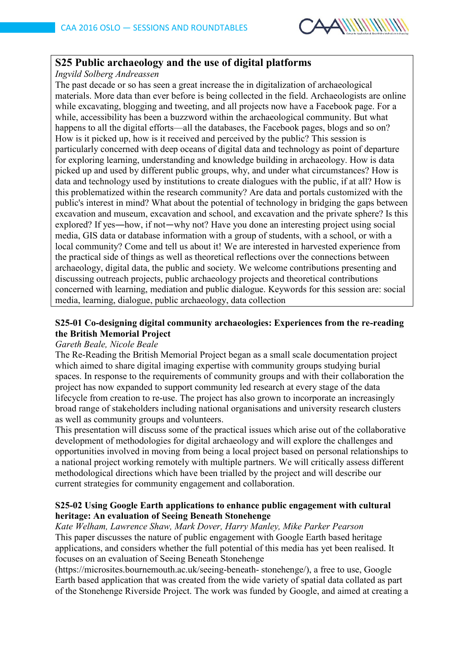

# **S25 Public archaeology and the use of digital platforms**

*Ingvild Solberg Andreassen*

The past decade or so has seen a great increase the in digitalization of archaeological materials. More data than ever before is being collected in the field. Archaeologists are online while excavating, blogging and tweeting, and all projects now have a Facebook page. For a while, accessibility has been a buzzword within the archaeological community. But what happens to all the digital efforts—all the databases, the Facebook pages, blogs and so on? How is it picked up, how is it received and perceived by the public? This session is particularly concerned with deep oceans of digital data and technology as point of departure for exploring learning, understanding and knowledge building in archaeology. How is data picked up and used by different public groups, why, and under what circumstances? How is data and technology used by institutions to create dialogues with the public, if at all? How is this problematized within the research community? Are data and portals customized with the public's interest in mind? What about the potential of technology in bridging the gaps between excavation and museum, excavation and school, and excavation and the private sphere? Is this explored? If yes―how, if not―why not? Have you done an interesting project using social media, GIS data or database information with a group of students, with a school, or with a local community? Come and tell us about it! We are interested in harvested experience from the practical side of things as well as theoretical reflections over the connections between archaeology, digital data, the public and society. We welcome contributions presenting and discussing outreach projects, public archaeology projects and theoretical contributions concerned with learning, mediation and public dialogue. Keywords for this session are: social media, learning, dialogue, public archaeology, data collection

# **S25-01 Co-designing digital community archaeologies: Experiences from the re-reading the British Memorial Project**

#### *Gareth Beale, Nicole Beale*

The Re-Reading the British Memorial Project began as a small scale documentation project which aimed to share digital imaging expertise with community groups studying burial spaces. In response to the requirements of community groups and with their collaboration the project has now expanded to support community led research at every stage of the data lifecycle from creation to re-use. The project has also grown to incorporate an increasingly broad range of stakeholders including national organisations and university research clusters as well as community groups and volunteers.

This presentation will discuss some of the practical issues which arise out of the collaborative development of methodologies for digital archaeology and will explore the challenges and opportunities involved in moving from being a local project based on personal relationships to a national project working remotely with multiple partners. We will critically assess different methodological directions which have been trialled by the project and will describe our current strategies for community engagement and collaboration.

### **S25-02 Using Google Earth applications to enhance public engagement with cultural heritage: An evaluation of Seeing Beneath Stonehenge**

*Kate Welham, Lawrence Shaw, Mark Dover, Harry Manley, Mike Parker Pearson* This paper discusses the nature of public engagement with Google Earth based heritage applications, and considers whether the full potential of this media has yet been realised. It focuses on an evaluation of Seeing Beneath Stonehenge

(https://microsites.bournemouth.ac.uk/seeing-beneath- stonehenge/), a free to use, Google Earth based application that was created from the wide variety of spatial data collated as part of the Stonehenge Riverside Project. The work was funded by Google, and aimed at creating a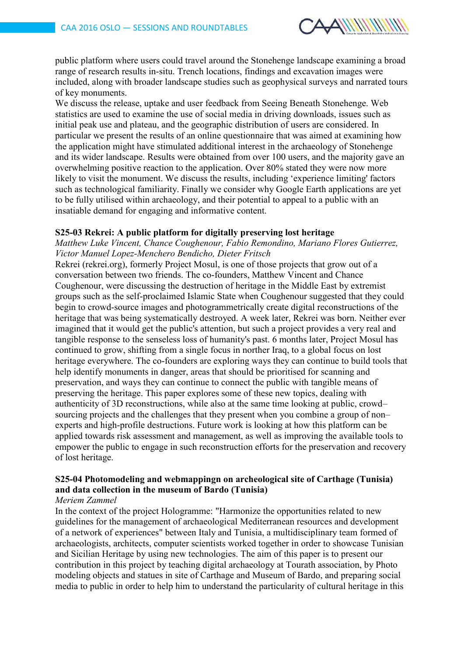

public platform where users could travel around the Stonehenge landscape examining a broad range of research results in-situ. Trench locations, findings and excavation images were included, along with broader landscape studies such as geophysical surveys and narrated tours of key monuments.

We discuss the release, uptake and user feedback from Seeing Beneath Stonehenge. Web statistics are used to examine the use of social media in driving downloads, issues such as initial peak use and plateau, and the geographic distribution of users are considered. In particular we present the results of an online questionnaire that was aimed at examining how the application might have stimulated additional interest in the archaeology of Stonehenge and its wider landscape. Results were obtained from over 100 users, and the majority gave an overwhelming positive reaction to the application. Over 80% stated they were now more likely to visit the monument. We discuss the results, including 'experience limiting' factors such as technological familiarity. Finally we consider why Google Earth applications are yet to be fully utilised within archaeology, and their potential to appeal to a public with an insatiable demand for engaging and informative content.

#### **S25-03 Rekrei: A public platform for digitally preserving lost heritage**

*Matthew Luke Vincent, Chance Coughenour, Fabio Remondino, Mariano Flores Gutierrez, Victor Manuel Lopez-Menchero Bendicho, Dieter Fritsch*

Rekrei (rekrei.org), formerly Project Mosul, is one of those projects that grow out of a conversation between two friends. The co-founders, Matthew Vincent and Chance Coughenour, were discussing the destruction of heritage in the Middle East by extremist groups such as the self-proclaimed Islamic State when Coughenour suggested that they could begin to crowd-source images and photogrammetrically create digital reconstructions of the heritage that was being systematically destroyed. A week later, Rekrei was born. Neither ever imagined that it would get the public's attention, but such a project provides a very real and tangible response to the senseless loss of humanity's past. 6 months later, Project Mosul has continued to grow, shifting from a single focus in norther Iraq, to a global focus on lost heritage everywhere. The co-founders are exploring ways they can continue to build tools that help identify monuments in danger, areas that should be prioritised for scanning and preservation, and ways they can continue to connect the public with tangible means of preserving the heritage. This paper explores some of these new topics, dealing with authenticity of 3D reconstructions, while also at the same time looking at public, crowd– sourcing projects and the challenges that they present when you combine a group of non– experts and high-profile destructions. Future work is looking at how this platform can be applied towards risk assessment and management, as well as improving the available tools to empower the public to engage in such reconstruction efforts for the preservation and recovery of lost heritage.

# **S25-04 Photomodeling and webmappingn on archeological site of Carthage (Tunisia) and data collection in the museum of Bardo (Tunisia)**

### *Meriem Zammel*

In the context of the project Hologramme: "Harmonize the opportunities related to new guidelines for the management of archaeological Mediterranean resources and development of a network of experiences" between Italy and Tunisia, a multidisciplinary team formed of archaeologists, architects, computer scientists worked together in order to showcase Tunisian and Sicilian Heritage by using new technologies. The aim of this paper is to present our contribution in this project by teaching digital archaeology at Tourath association, by Photo modeling objects and statues in site of Carthage and Museum of Bardo, and preparing social media to public in order to help him to understand the particularity of cultural heritage in this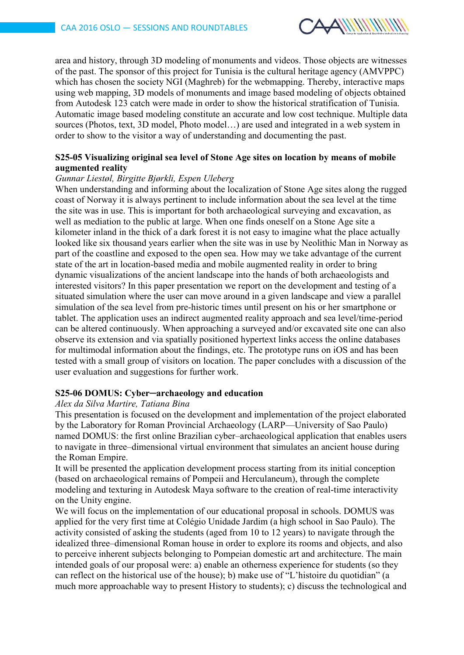

area and history, through 3D modeling of monuments and videos. Those objects are witnesses of the past. The sponsor of this project for Tunisia is the cultural heritage agency (AMVPPC) which has chosen the society NGI (Maghreb) for the webmapping. Thereby, interactive maps using web mapping, 3D models of monuments and image based modeling of objects obtained from Autodesk 123 catch were made in order to show the historical stratification of Tunisia. Automatic image based modeling constitute an accurate and low cost technique. Multiple data sources (Photos, text, 3D model, Photo model…) are used and integrated in a web system in order to show to the visitor a way of understanding and documenting the past.

## **S25-05 Visualizing original sea level of Stone Age sites on location by means of mobile augmented reality**

#### *Gunnar Liestøl, Birgitte Bjørkli, Espen Uleberg*

When understanding and informing about the localization of Stone Age sites along the rugged coast of Norway it is always pertinent to include information about the sea level at the time the site was in use. This is important for both archaeological surveying and excavation, as well as mediation to the public at large. When one finds oneself on a Stone Age site a kilometer inland in the thick of a dark forest it is not easy to imagine what the place actually looked like six thousand years earlier when the site was in use by Neolithic Man in Norway as part of the coastline and exposed to the open sea. How may we take advantage of the current state of the art in location-based media and mobile augmented reality in order to bring dynamic visualizations of the ancient landscape into the hands of both archaeologists and interested visitors? In this paper presentation we report on the development and testing of a situated simulation where the user can move around in a given landscape and view a parallel simulation of the sea level from pre-historic times until present on his or her smartphone or tablet. The application uses an indirect augmented reality approach and sea level/time-period can be altered continuously. When approaching a surveyed and/or excavated site one can also observe its extension and via spatially positioned hypertext links access the online databases for multimodal information about the findings, etc. The prototype runs on iOS and has been tested with a small group of visitors on location. The paper concludes with a discussion of the user evaluation and suggestions for further work.

### **S25-06 DOMUS: Cyber─archaeology and education**

#### *Alex da Silva Martire, Tatiana Bina*

This presentation is focused on the development and implementation of the project elaborated by the Laboratory for Roman Provincial Archaeology (LARP—University of Sao Paulo) named DOMUS: the first online Brazilian cyber–archaeological application that enables users to navigate in three–dimensional virtual environment that simulates an ancient house during the Roman Empire.

It will be presented the application development process starting from its initial conception (based on archaeological remains of Pompeii and Herculaneum), through the complete modeling and texturing in Autodesk Maya software to the creation of real-time interactivity on the Unity engine.

We will focus on the implementation of our educational proposal in schools. DOMUS was applied for the very first time at Colégio Unidade Jardim (a high school in Sao Paulo). The activity consisted of asking the students (aged from 10 to 12 years) to navigate through the idealized three–dimensional Roman house in order to explore its rooms and objects, and also to perceive inherent subjects belonging to Pompeian domestic art and architecture. The main intended goals of our proposal were: a) enable an otherness experience for students (so they can reflect on the historical use of the house); b) make use of "L'histoire du quotidian" (a much more approachable way to present History to students); c) discuss the technological and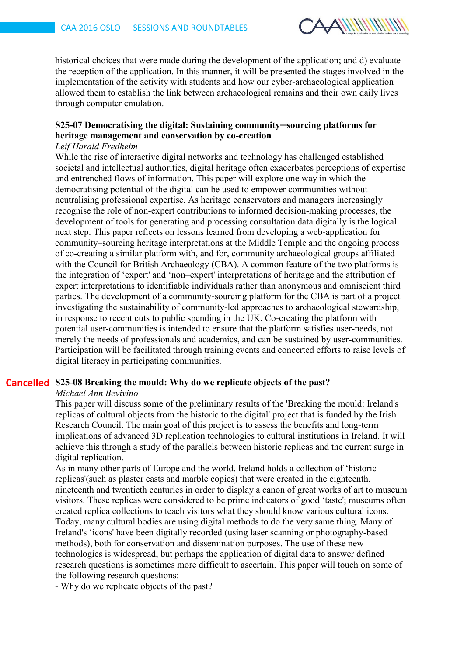

historical choices that were made during the development of the application; and d) evaluate the reception of the application. In this manner, it will be presented the stages involved in the implementation of the activity with students and how our cyber-archaeological application allowed them to establish the link between archaeological remains and their own daily lives through computer emulation.

# **S25-07 Democratising the digital: Sustaining community─sourcing platforms for heritage management and conservation by co-creation**

# *Leif Harald Fredheim*

While the rise of interactive digital networks and technology has challenged established societal and intellectual authorities, digital heritage often exacerbates perceptions of expertise and entrenched flows of information. This paper will explore one way in which the democratising potential of the digital can be used to empower communities without neutralising professional expertise. As heritage conservators and managers increasingly recognise the role of non-expert contributions to informed decision-making processes, the development of tools for generating and processing consultation data digitally is the logical next step. This paper reflects on lessons learned from developing a web-application for community–sourcing heritage interpretations at the Middle Temple and the ongoing process of co-creating a similar platform with, and for, community archaeological groups affiliated with the Council for British Archaeology (CBA). A common feature of the two platforms is the integration of 'expert' and 'non–expert' interpretations of heritage and the attribution of expert interpretations to identifiable individuals rather than anonymous and omniscient third parties. The development of a community-sourcing platform for the CBA is part of a project investigating the sustainability of community-led approaches to archaeological stewardship, in response to recent cuts to public spending in the UK. Co-creating the platform with potential user-communities is intended to ensure that the platform satisfies user-needs, not merely the needs of professionals and academics, and can be sustained by user-communities. Participation will be facilitated through training events and concerted efforts to raise levels of digital literacy in participating communities.

# **S25-08 Breaking the mould: Why do we replicate objects of the past? Cancelled**

### *Michael Ann Bevivino*

This paper will discuss some of the preliminary results of the 'Breaking the mould: Ireland's replicas of cultural objects from the historic to the digital' project that is funded by the Irish Research Council. The main goal of this project is to assess the benefits and long-term implications of advanced 3D replication technologies to cultural institutions in Ireland. It will achieve this through a study of the parallels between historic replicas and the current surge in digital replication.

As in many other parts of Europe and the world, Ireland holds a collection of 'historic replicas'(such as plaster casts and marble copies) that were created in the eighteenth, nineteenth and twentieth centuries in order to display a canon of great works of art to museum visitors. These replicas were considered to be prime indicators of good 'taste'; museums often created replica collections to teach visitors what they should know various cultural icons. Today, many cultural bodies are using digital methods to do the very same thing. Many of Ireland's 'icons' have been digitally recorded (using laser scanning or photography-based methods), both for conservation and dissemination purposes. The use of these new technologies is widespread, but perhaps the application of digital data to answer defined research questions is sometimes more difficult to ascertain. This paper will touch on some of the following research questions:

- Why do we replicate objects of the past?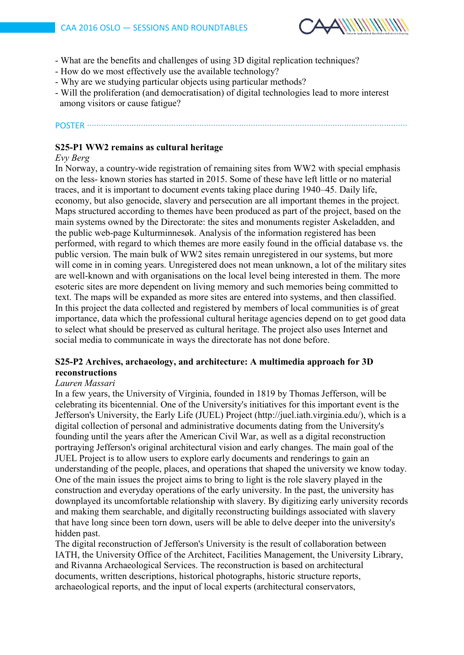

- What are the benefits and challenges of using 3D digital replication techniques?
- How do we most effectively use the available technology?
- Why are we studying particular objects using particular methods?
- Will the proliferation (and democratisation) of digital technologies lead to more interest among visitors or cause fatigue?

### POSTER ∙∙∙∙∙∙∙∙∙∙∙∙∙∙∙∙∙∙∙∙∙∙∙∙∙∙∙∙∙∙∙∙∙∙∙∙∙∙∙∙∙∙∙∙∙∙∙∙∙∙∙∙∙∙∙∙∙∙∙∙∙∙∙∙∙∙∙∙∙∙∙∙∙∙∙∙∙∙∙∙∙∙∙∙∙∙∙∙∙∙∙∙∙∙∙∙∙∙∙∙∙∙∙∙∙∙∙∙∙∙∙∙∙∙∙∙∙∙∙∙∙∙∙∙∙∙∙∙∙∙∙∙∙∙∙∙∙

# **S25-P1 WW2 remains as cultural heritage**

### *Evy Berg*

In Norway, a country-wide registration of remaining sites from WW2 with special emphasis on the less- known stories has started in 2015. Some of these have left little or no material traces, and it is important to document events taking place during 1940–45. Daily life, economy, but also genocide, slavery and persecution are all important themes in the project. Maps structured according to themes have been produced as part of the project, based on the main systems owned by the Directorate: the sites and monuments register Askeladden, and the public web-page Kulturminnesøk. Analysis of the information registered has been performed, with regard to which themes are more easily found in the official database vs. the public version. The main bulk of WW2 sites remain unregistered in our systems, but more will come in in coming years. Unregistered does not mean unknown, a lot of the military sites are well-known and with organisations on the local level being interested in them. The more esoteric sites are more dependent on living memory and such memories being committed to text. The maps will be expanded as more sites are entered into systems, and then classified. In this project the data collected and registered by members of local communities is of great importance, data which the professional cultural heritage agencies depend on to get good data to select what should be preserved as cultural heritage. The project also uses Internet and social media to communicate in ways the directorate has not done before.

# **S25-P2 Archives, archaeology, and architecture: A multimedia approach for 3D reconstructions**

# *Lauren Massari*

In a few years, the University of Virginia, founded in 1819 by Thomas Jefferson, will be celebrating its bicentennial. One of the University's initiatives for this important event is the Jefferson's University, the Early Life (JUEL) Project (http://juel.iath.virginia.edu/), which is a digital collection of personal and administrative documents dating from the University's founding until the years after the American Civil War, as well as a digital reconstruction portraying Jefferson's original architectural vision and early changes. The main goal of the JUEL Project is to allow users to explore early documents and renderings to gain an understanding of the people, places, and operations that shaped the university we know today. One of the main issues the project aims to bring to light is the role slavery played in the construction and everyday operations of the early university. In the past, the university has downplayed its uncomfortable relationship with slavery. By digitizing early university records and making them searchable, and digitally reconstructing buildings associated with slavery that have long since been torn down, users will be able to delve deeper into the university's hidden past.

The digital reconstruction of Jefferson's University is the result of collaboration between IATH, the University Office of the Architect, Facilities Management, the University Library, and Rivanna Archaeological Services. The reconstruction is based on architectural documents, written descriptions, historical photographs, historic structure reports, archaeological reports, and the input of local experts (architectural conservators,